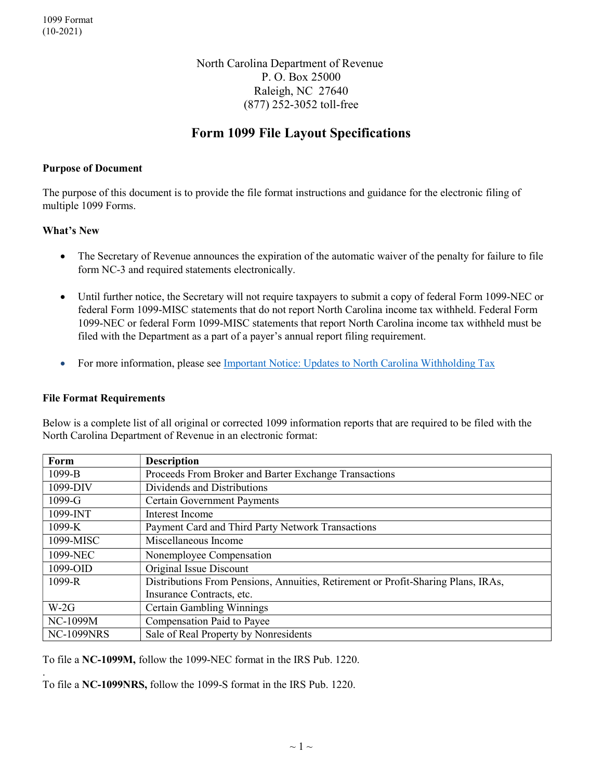North Carolina Department of Revenue P. O. Box 25000 Raleigh, NC 27640 (877) 252-3052 toll-free

# Form 1099 File Layout Specifications

### Purpose of Document

The purpose of this document is to provide the file format instructions and guidance for the electronic filing of multiple 1099 Forms.

### What's New

- The Secretary of Revenue announces the expiration of the automatic waiver of the penalty for failure to file form NC-3 and required statements electronically.
- Until further notice, the Secretary will not require taxpayers to submit a copy of federal Form 1099-NEC or federal Form 1099-MISC statements that do not report North Carolina income tax withheld. Federal Form 1099-NEC or federal Form 1099-MISC statements that report North Carolina income tax withheld must be filed with the Department as a part of a payer's annual report filing requirement.
- For more information, please see Important Notice: Updates to North Carolina Withholding Tax

#### File Format Requirements

Below is a complete list of all original or corrected 1099 information reports that are required to be filed with the North Carolina Department of Revenue in an electronic format:

| Form              | <b>Description</b>                                                                |  |  |  |
|-------------------|-----------------------------------------------------------------------------------|--|--|--|
| 1099-B            | Proceeds From Broker and Barter Exchange Transactions                             |  |  |  |
| 1099-DIV          | Dividends and Distributions                                                       |  |  |  |
| $1099-G$          | <b>Certain Government Payments</b>                                                |  |  |  |
| 1099-INT          | Interest Income                                                                   |  |  |  |
| 1099-K            | Payment Card and Third Party Network Transactions                                 |  |  |  |
| 1099-MISC         | Miscellaneous Income                                                              |  |  |  |
| 1099-NEC          | Nonemployee Compensation                                                          |  |  |  |
| 1099-OID          | Original Issue Discount                                                           |  |  |  |
| 1099-R            | Distributions From Pensions, Annuities, Retirement or Profit-Sharing Plans, IRAs, |  |  |  |
|                   | Insurance Contracts, etc.                                                         |  |  |  |
| $W-2G$            | <b>Certain Gambling Winnings</b>                                                  |  |  |  |
| <b>NC-1099M</b>   | Compensation Paid to Payee                                                        |  |  |  |
| <b>NC-1099NRS</b> | Sale of Real Property by Nonresidents                                             |  |  |  |

To file a NC-1099M, follow the 1099-NEC format in the IRS Pub. 1220.

. To file a NC-1099NRS, follow the 1099-S format in the IRS Pub. 1220.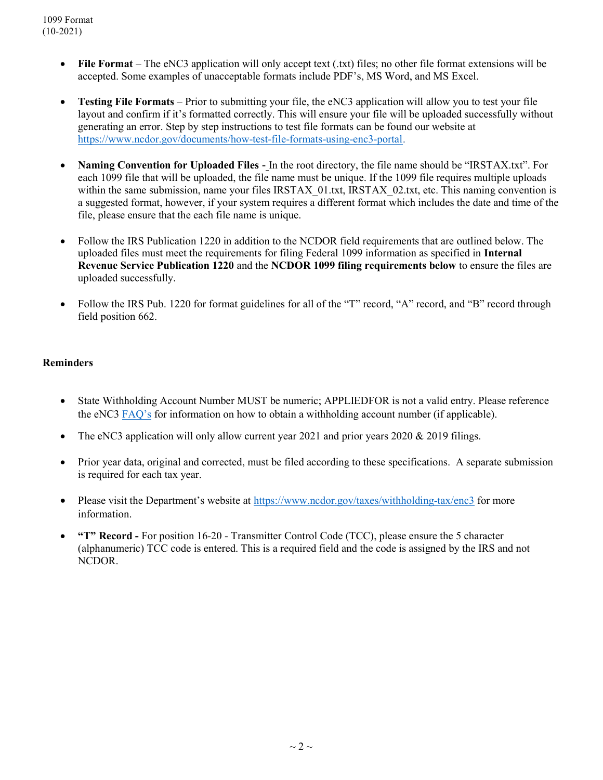- File Format The eNC3 application will only accept text (.txt) files; no other file format extensions will be accepted. Some examples of unacceptable formats include PDF's, MS Word, and MS Excel.
- Testing File Formats Prior to submitting your file, the eNC3 application will allow you to test your file layout and confirm if it's formatted correctly. This will ensure your file will be uploaded successfully without generating an error. Step by step instructions to test file formats can be found our website at https://www.ncdor.gov/documents/how-test-file-formats-using-enc3-portal.
- Naming Convention for Uploaded Files In the root directory, the file name should be "IRSTAX.txt". For each 1099 file that will be uploaded, the file name must be unique. If the 1099 file requires multiple uploads within the same submission, name your files IRSTAX 01.txt, IRSTAX 02.txt, etc. This naming convention is a suggested format, however, if your system requires a different format which includes the date and time of the file, please ensure that the each file name is unique.
- Follow the IRS Publication 1220 in addition to the NCDOR field requirements that are outlined below. The uploaded files must meet the requirements for filing Federal 1099 information as specified in Internal Revenue Service Publication 1220 and the NCDOR 1099 filing requirements below to ensure the files are uploaded successfully.
- Follow the IRS Pub. 1220 for format guidelines for all of the "T" record, "A" record, and "B" record through field position 662.

## **Reminders**

- State Withholding Account Number MUST be numeric; APPLIEDFOR is not a valid entry. Please reference the eNC3 FAQ's for information on how to obtain a withholding account number (if applicable).
- The eNC3 application will only allow current year 2021 and prior years  $2020 \& 2019$  filings.
- Prior year data, original and corrected, must be filed according to these specifications. A separate submission is required for each tax year.
- Please visit the Department's website at https://www.ncdor.gov/taxes/withholding-tax/enc3 for more information.
- "T" Record For position 16-20 Transmitter Control Code (TCC), please ensure the 5 character (alphanumeric) TCC code is entered. This is a required field and the code is assigned by the IRS and not NCDOR.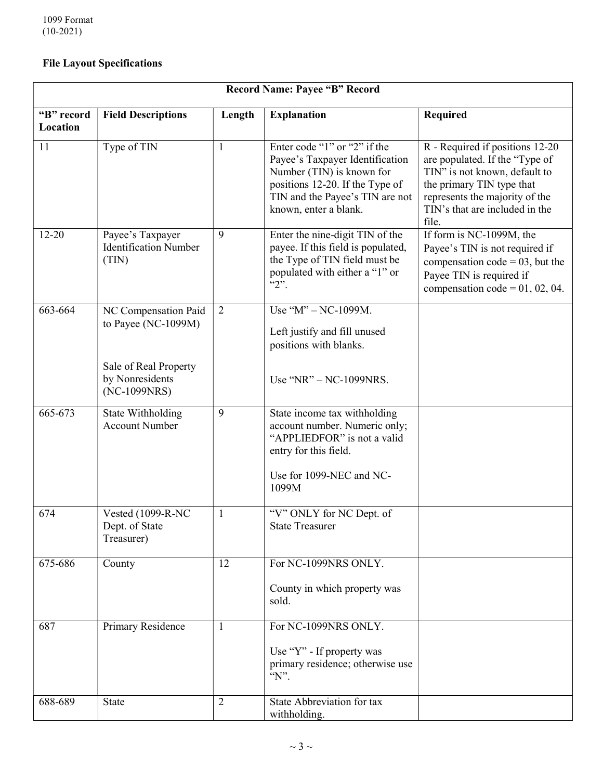# File Layout Specifications

| <b>Record Name: Payee "B" Record</b> |                                                           |                |                                                                                                                                                                                             |                                                                                                                                                                                                              |  |  |
|--------------------------------------|-----------------------------------------------------------|----------------|---------------------------------------------------------------------------------------------------------------------------------------------------------------------------------------------|--------------------------------------------------------------------------------------------------------------------------------------------------------------------------------------------------------------|--|--|
| "B" record<br>Location               | <b>Field Descriptions</b>                                 | Length         | <b>Explanation</b>                                                                                                                                                                          | <b>Required</b>                                                                                                                                                                                              |  |  |
| 11                                   | Type of TIN                                               | $\mathbf{1}$   | Enter code "1" or "2" if the<br>Payee's Taxpayer Identification<br>Number (TIN) is known for<br>positions 12-20. If the Type of<br>TIN and the Payee's TIN are not<br>known, enter a blank. | R - Required if positions 12-20<br>are populated. If the "Type of<br>TIN" is not known, default to<br>the primary TIN type that<br>represents the majority of the<br>TIN's that are included in the<br>file. |  |  |
| $12 - 20$                            | Payee's Taxpayer<br><b>Identification Number</b><br>(TIN) | 9              | Enter the nine-digit TIN of the<br>payee. If this field is populated,<br>the Type of TIN field must be<br>populated with either a "1" or<br>$\lq\lq\lq\lq\lq$                               | If form is NC-1099M, the<br>Payee's TIN is not required if<br>compensation $code = 03$ , but the<br>Payee TIN is required if<br>compensation code = $01, 02, 04$ .                                           |  |  |
| 663-664                              | NC Compensation Paid<br>to Payee (NC-1099M)               | $\overline{2}$ | Use " $M$ " – NC-1099M.<br>Left justify and fill unused<br>positions with blanks.                                                                                                           |                                                                                                                                                                                                              |  |  |
|                                      | Sale of Real Property<br>by Nonresidents<br>(NC-1099NRS)  |                | Use "NR" - NC-1099NRS.                                                                                                                                                                      |                                                                                                                                                                                                              |  |  |
| 665-673                              | State Withholding<br><b>Account Number</b>                | 9              | State income tax withholding<br>account number. Numeric only;<br>"APPLIEDFOR" is not a valid<br>entry for this field.<br>Use for 1099-NEC and NC-<br>1099M                                  |                                                                                                                                                                                                              |  |  |
| 674                                  | Vested (1099-R-NC<br>Dept. of State<br>Treasurer)         | 1              | "V" ONLY for NC Dept. of<br><b>State Treasurer</b>                                                                                                                                          |                                                                                                                                                                                                              |  |  |
| 675-686                              | County                                                    | 12             | For NC-1099NRS ONLY.<br>County in which property was<br>sold.                                                                                                                               |                                                                                                                                                                                                              |  |  |
| 687                                  | Primary Residence                                         | $\mathbf{1}$   | For NC-1099NRS ONLY.<br>Use "Y" - If property was<br>primary residence; otherwise use<br>$\lq N$ .                                                                                          |                                                                                                                                                                                                              |  |  |
| 688-689                              | <b>State</b>                                              | $\overline{2}$ | State Abbreviation for tax<br>withholding.                                                                                                                                                  |                                                                                                                                                                                                              |  |  |